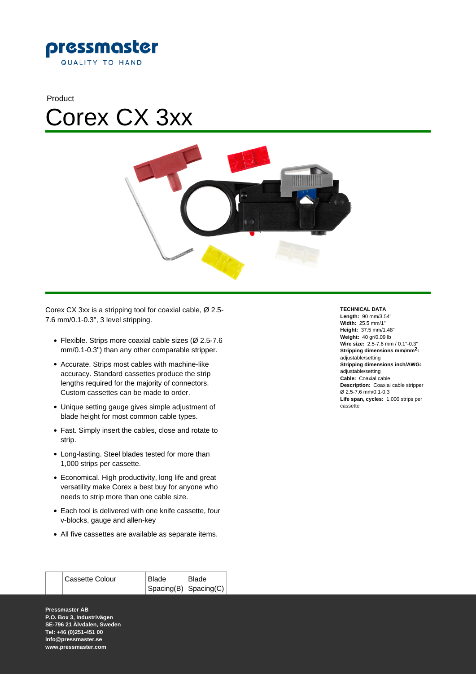





Corex CX 3xx is a stripping tool for coaxial cable, Ø 2.5- 7.6 mm/0.1-0.3", 3 level stripping.

- Flexible. Strips more coaxial cable sizes (Ø 2.5-7.6 mm/0.1-0.3") than any other comparable stripper.
- Accurate. Strips most cables with machine-like accuracy. Standard cassettes produce the strip lengths required for the majority of connectors. Custom cassettes can be made to order.
- Unique setting gauge gives simple adjustment of blade height for most common cable types.
- Fast. Simply insert the cables, close and rotate to strip.
- Long-lasting. Steel blades tested for more than 1,000 strips per cassette.
- Economical. High productivity, long life and great versatility make Corex a best buy for anyone who needs to strip more than one cable size.
- Each tool is delivered with one knife cassette, four v-blocks, gauge and allen-key
- All five cassettes are available as separate items.

| <b>Cassette Colour</b> | Blade                         | <b>Blade</b> |
|------------------------|-------------------------------|--------------|
|                        | $ $ Spacing(B) $ $ Spacing(C) |              |

**Pressmaster AB P.O. Box 3, Industrivägen SE-796 21 Älvdalen, Sweden Tel: +46 (0)251-451 00 info@pressmaster.se www.pressmaster.com**

## **TECHNICAL DATA**

**Length:** 90 mm/3.54" **Width:** 25.5 mm/1" **Height:** 37.5 mm/1.48" **Weight:** 40 gr/0.09 lb **Wire size:** 2.5-7.6 mm / 0.1''-0.3'' **Stripping dimensions mm/mm2:**  adjustable/setting **Stripping dimensions inch/AWG:**  adjustable/setting **Cable:** Coaxial cable **Description:** Coaxial cable stripper Ø 2.5-7.6 mm/0.1-0.3 **Life span, cycles:** 1,000 strips per cassette